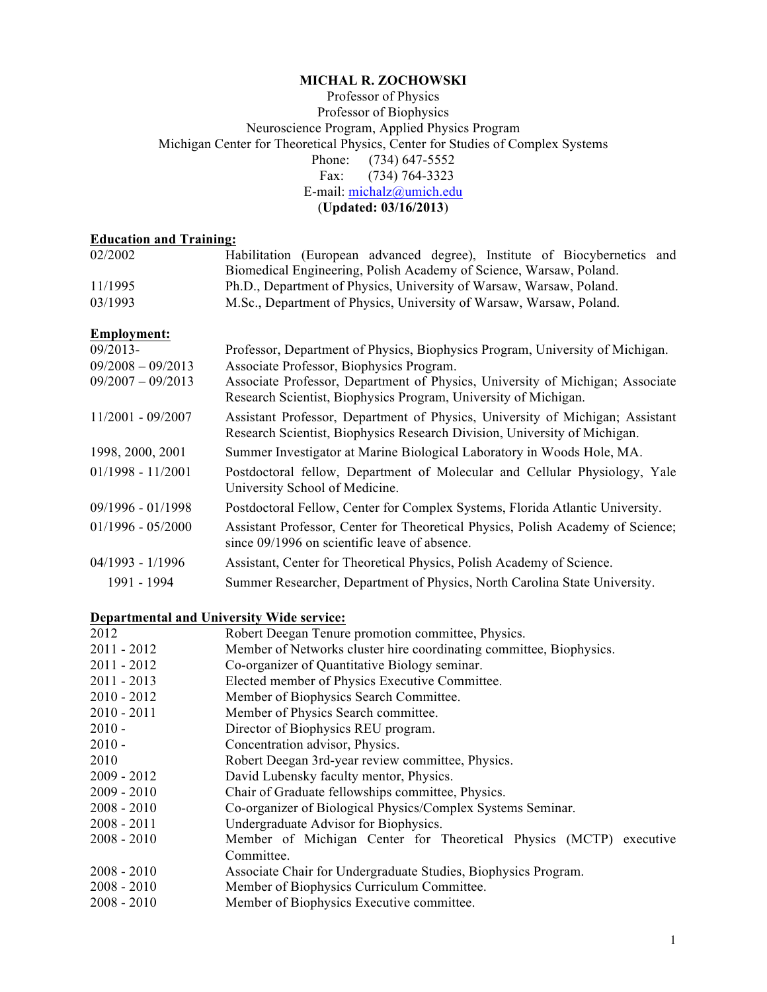#### **MICHAL R. ZOCHOWSKI**

#### Professor of Physics Professor of Biophysics Neuroscience Program, Applied Physics Program Michigan Center for Theoretical Physics, Center for Studies of Complex Systems Phone: (734) 647-5552<br>Fax: (734) 764-3323  $(734) 764 - 3323$ E-mail: michalz@umich.edu (**Updated: 03/16/2013**)

#### **Education and Training:**

| 02/2002             | Habilitation (European advanced degree), Institute of Biocybernetics and                                                                                   |
|---------------------|------------------------------------------------------------------------------------------------------------------------------------------------------------|
|                     | Biomedical Engineering, Polish Academy of Science, Warsaw, Poland.                                                                                         |
| 11/1995             | Ph.D., Department of Physics, University of Warsaw, Warsaw, Poland.                                                                                        |
| 03/1993             | M.Sc., Department of Physics, University of Warsaw, Warsaw, Poland.                                                                                        |
| <b>Employment:</b>  |                                                                                                                                                            |
| 09/2013-            | Professor, Department of Physics, Biophysics Program, University of Michigan.                                                                              |
| $09/2008 - 09/2013$ | Associate Professor, Biophysics Program.                                                                                                                   |
| $09/2007 - 09/2013$ | Associate Professor, Department of Physics, University of Michigan; Associate<br>Research Scientist, Biophysics Program, University of Michigan.           |
| $11/2001 - 09/2007$ | Assistant Professor, Department of Physics, University of Michigan; Assistant<br>Research Scientist, Biophysics Research Division, University of Michigan. |
| 1998, 2000, 2001    | Summer Investigator at Marine Biological Laboratory in Woods Hole, MA.                                                                                     |
| $01/1998 - 11/2001$ | Postdoctoral fellow, Department of Molecular and Cellular Physiology, Yale<br>University School of Medicine.                                               |
| 09/1996 - 01/1998   | Postdoctoral Fellow, Center for Complex Systems, Florida Atlantic University.                                                                              |
| $01/1996 - 05/2000$ | Assistant Professor, Center for Theoretical Physics, Polish Academy of Science;<br>since 09/1996 on scientific leave of absence.                           |
| $04/1993 - 1/1996$  | Assistant, Center for Theoretical Physics, Polish Academy of Science.                                                                                      |
| 1991 - 1994         | Summer Researcher, Department of Physics, North Carolina State University.                                                                                 |

# **Departmental and University Wide service:**

| 2012          | Robert Deegan Tenure promotion committee, Physics.                  |
|---------------|---------------------------------------------------------------------|
| $2011 - 2012$ | Member of Networks cluster hire coordinating committee, Biophysics. |
| $2011 - 2012$ | Co-organizer of Quantitative Biology seminar.                       |
| $2011 - 2013$ | Elected member of Physics Executive Committee.                      |
| $2010 - 2012$ | Member of Biophysics Search Committee.                              |
| $2010 - 2011$ | Member of Physics Search committee.                                 |
| $2010 -$      | Director of Biophysics REU program.                                 |
| $2010 -$      | Concentration advisor, Physics.                                     |
| 2010          | Robert Deegan 3rd-year review committee, Physics.                   |
| $2009 - 2012$ | David Lubensky faculty mentor, Physics.                             |
| $2009 - 2010$ | Chair of Graduate fellowships committee, Physics.                   |
| $2008 - 2010$ | Co-organizer of Biological Physics/Complex Systems Seminar.         |
| $2008 - 2011$ | Undergraduate Advisor for Biophysics.                               |
| $2008 - 2010$ | Member of Michigan Center for Theoretical Physics (MCTP) executive  |
|               | Committee.                                                          |
| $2008 - 2010$ | Associate Chair for Undergraduate Studies, Biophysics Program.      |
| $2008 - 2010$ | Member of Biophysics Curriculum Committee.                          |
| $2008 - 2010$ | Member of Biophysics Executive committee.                           |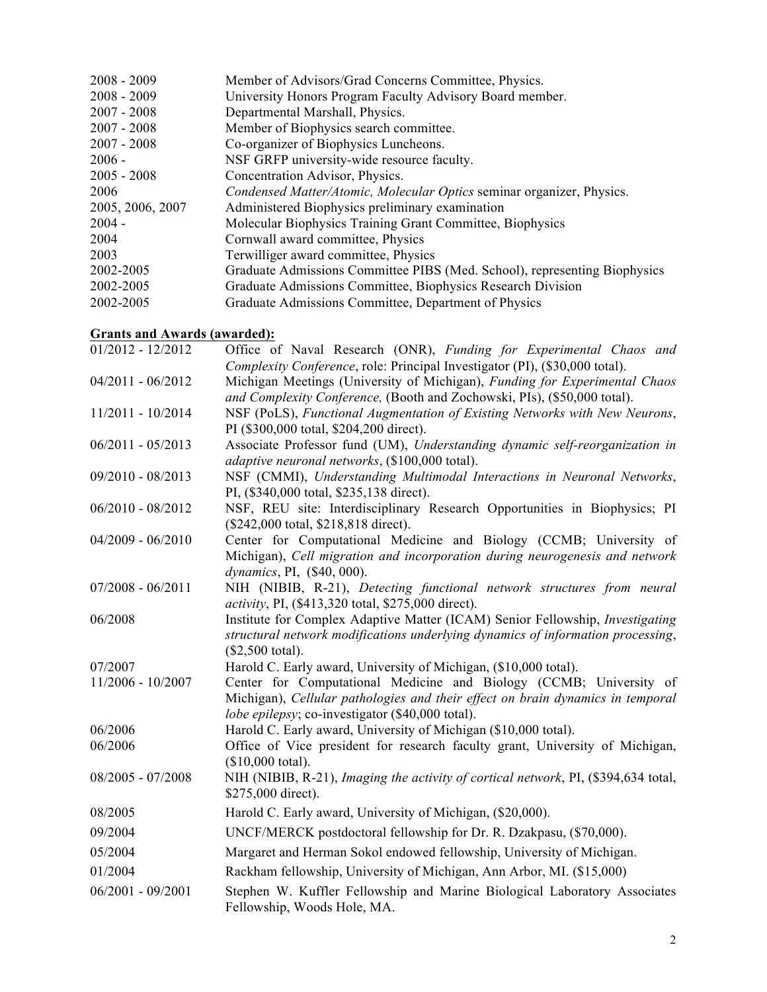| Member of Advisors/Grad Concerns Committee, Physics.                      |
|---------------------------------------------------------------------------|
| University Honors Program Faculty Advisory Board member.                  |
| Departmental Marshall, Physics.                                           |
| Member of Biophysics search committee.                                    |
| Co-organizer of Biophysics Luncheons.                                     |
| NSF GRFP university-wide resource faculty.                                |
| Concentration Advisor, Physics.                                           |
| Condensed Matter/Atomic, Molecular Optics seminar organizer, Physics.     |
| Administered Biophysics preliminary examination                           |
| Molecular Biophysics Training Grant Committee, Biophysics                 |
| Cornwall award committee, Physics                                         |
| Terwilliger award committee, Physics                                      |
| Graduate Admissions Committee PIBS (Med. School), representing Biophysics |
| Graduate Admissions Committee, Biophysics Research Division               |
| Graduate Admissions Committee, Department of Physics                      |
|                                                                           |

# **Grants and Awards (awarded):**

| $01/2012 - 12/2012$ | Office of Naval Research (ONR), Funding for Experimental Chaos and<br>Complexity Conference, role: Principal Investigator (PI), (\$30,000 total).                                                        |
|---------------------|----------------------------------------------------------------------------------------------------------------------------------------------------------------------------------------------------------|
| $04/2011 - 06/2012$ | Michigan Meetings (University of Michigan), Funding for Experimental Chaos<br>and Complexity Conference, (Booth and Zochowski, PIs), (\$50,000 total).                                                   |
| 11/2011 - 10/2014   | NSF (PoLS), Functional Augmentation of Existing Networks with New Neurons,<br>PI (\$300,000 total, \$204,200 direct).                                                                                    |
| $06/2011 - 05/2013$ | Associate Professor fund (UM), Understanding dynamic self-reorganization in<br>adaptive neuronal networks, (\$100,000 total).                                                                            |
| 09/2010 - 08/2013   | NSF (CMMI), Understanding Multimodal Interactions in Neuronal Networks,<br>PI, (\$340,000 total, \$235,138 direct).                                                                                      |
| $06/2010 - 08/2012$ | NSF, REU site: Interdisciplinary Research Opportunities in Biophysics; PI<br>(\$242,000 total, \$218,818 direct).                                                                                        |
| $04/2009 - 06/2010$ | Center for Computational Medicine and Biology (CCMB; University of<br>Michigan), Cell migration and incorporation during neurogenesis and network<br>dynamics, PI, (\$40, 000).                          |
| $07/2008 - 06/2011$ | NIH (NIBIB, R-21), Detecting functional network structures from neural<br><i>activity</i> , PI, (\$413,320 total, \$275,000 direct).                                                                     |
| 06/2008             | Institute for Complex Adaptive Matter (ICAM) Senior Fellowship, Investigating<br>structural network modifications underlying dynamics of information processing,<br>$($2,500$ total).                    |
| 07/2007             | Harold C. Early award, University of Michigan, (\$10,000 total).                                                                                                                                         |
| 11/2006 - 10/2007   | Center for Computational Medicine and Biology (CCMB; University of<br>Michigan), Cellular pathologies and their effect on brain dynamics in temporal<br>lobe epilepsy; co-investigator (\$40,000 total). |
| 06/2006             | Harold C. Early award, University of Michigan (\$10,000 total).                                                                                                                                          |
| 06/2006             | Office of Vice president for research faculty grant, University of Michigan,<br>$($10,000$ total).                                                                                                       |
| $08/2005 - 07/2008$ | NIH (NIBIB, R-21), Imaging the activity of cortical network, PI, (\$394,634 total,<br>\$275,000 direct).                                                                                                 |
| 08/2005             | Harold C. Early award, University of Michigan, (\$20,000).                                                                                                                                               |
| 09/2004             | UNCF/MERCK postdoctoral fellowship for Dr. R. Dzakpasu, (\$70,000).                                                                                                                                      |
| 05/2004             | Margaret and Herman Sokol endowed fellowship, University of Michigan.                                                                                                                                    |
| 01/2004             | Rackham fellowship, University of Michigan, Ann Arbor, MI. (\$15,000)                                                                                                                                    |
| $06/2001 - 09/2001$ | Stephen W. Kuffler Fellowship and Marine Biological Laboratory Associates<br>Fellowship, Woods Hole, MA.                                                                                                 |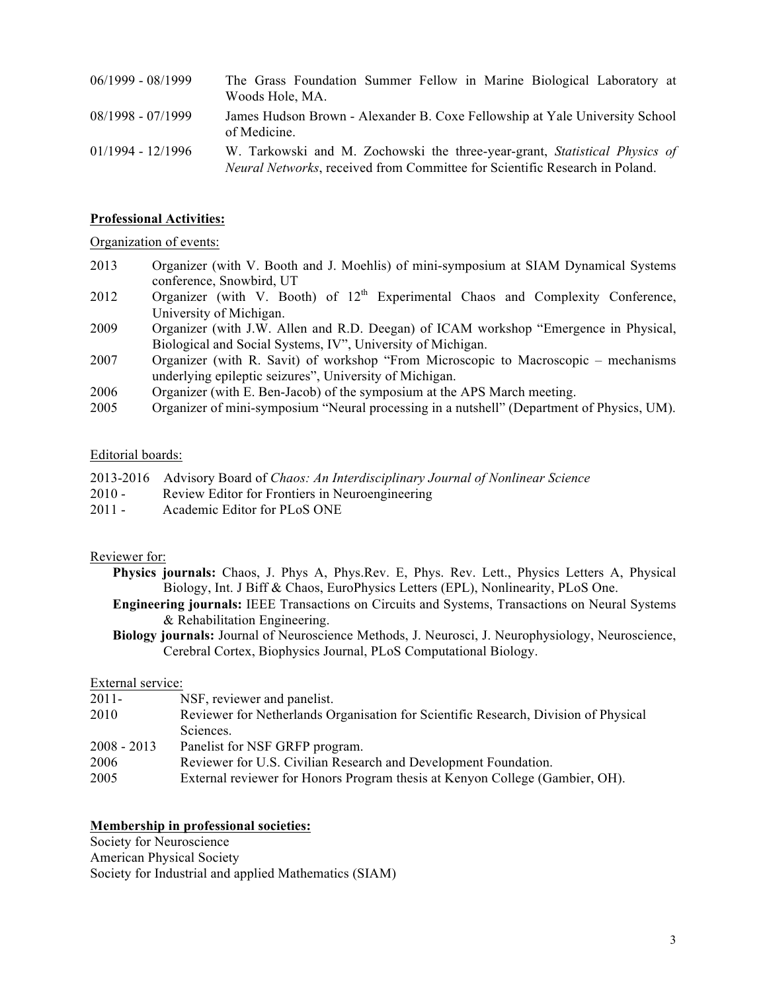| $06/1999 - 08/1999$ | The Grass Foundation Summer Fellow in Marine Biological Laboratory at<br>Woods Hole, MA.                                                                          |
|---------------------|-------------------------------------------------------------------------------------------------------------------------------------------------------------------|
| $08/1998 - 07/1999$ | James Hudson Brown - Alexander B. Coxe Fellowship at Yale University School<br>of Medicine.                                                                       |
| $01/1994 - 12/1996$ | W. Tarkowski and M. Zochowski the three-year-grant, Statistical Physics of<br><i>Neural Networks</i> , received from Committee for Scientific Research in Poland. |

#### **Professional Activities:**

#### Organization of events:

- 2013 Organizer (with V. Booth and J. Moehlis) of mini-symposium at SIAM Dynamical Systems conference, Snowbird, UT
- 2012 Organizer (with V. Booth) of  $12<sup>th</sup>$  Experimental Chaos and Complexity Conference, University of Michigan.
- 2009 Organizer (with J.W. Allen and R.D. Deegan) of ICAM workshop "Emergence in Physical, Biological and Social Systems, IV", University of Michigan.
- 2007 Organizer (with R. Savit) of workshop "From Microscopic to Macroscopic mechanisms underlying epileptic seizures", University of Michigan.
- 2006 Organizer (with E. Ben-Jacob) of the symposium at the APS March meeting.
- 2005 Organizer of mini-symposium "Neural processing in a nutshell" (Department of Physics, UM).

#### Editorial boards:

|  |  |  |  |  | 2013-2016 Advisory Board of Chaos: An Interdisciplinary Journal of Nonlinear Science |  |  |  |  |
|--|--|--|--|--|--------------------------------------------------------------------------------------|--|--|--|--|
|--|--|--|--|--|--------------------------------------------------------------------------------------|--|--|--|--|

- 2010 Review Editor for Frontiers in Neuroengineering
- 2011 Academic Editor for PLoS ONE

#### Reviewer for:

- **Physics journals:** Chaos, J. Phys A, Phys.Rev. E, Phys. Rev. Lett., Physics Letters A, Physical Biology, Int. J Biff & Chaos, EuroPhysics Letters (EPL), Nonlinearity, PLoS One.
- **Engineering journals:** IEEE Transactions on Circuits and Systems, Transactions on Neural Systems & Rehabilitation Engineering.
- **Biology journals:** Journal of Neuroscience Methods, J. Neurosci, J. Neurophysiology, Neuroscience, Cerebral Cortex, Biophysics Journal, PLoS Computational Biology.

#### External service:

| $2011 -$      | NSF, reviewer and panelist.                                                         |
|---------------|-------------------------------------------------------------------------------------|
| 2010          | Reviewer for Netherlands Organisation for Scientific Research, Division of Physical |
|               | Sciences.                                                                           |
| $2008 - 2013$ | Panelist for NSF GRFP program.                                                      |
| 2006          | Reviewer for U.S. Civilian Research and Development Foundation.                     |
| 2005          | External reviewer for Honors Program thesis at Kenyon College (Gambier, OH).        |

#### **Membership in professional societies:**

Society for Neuroscience American Physical Society Society for Industrial and applied Mathematics (SIAM)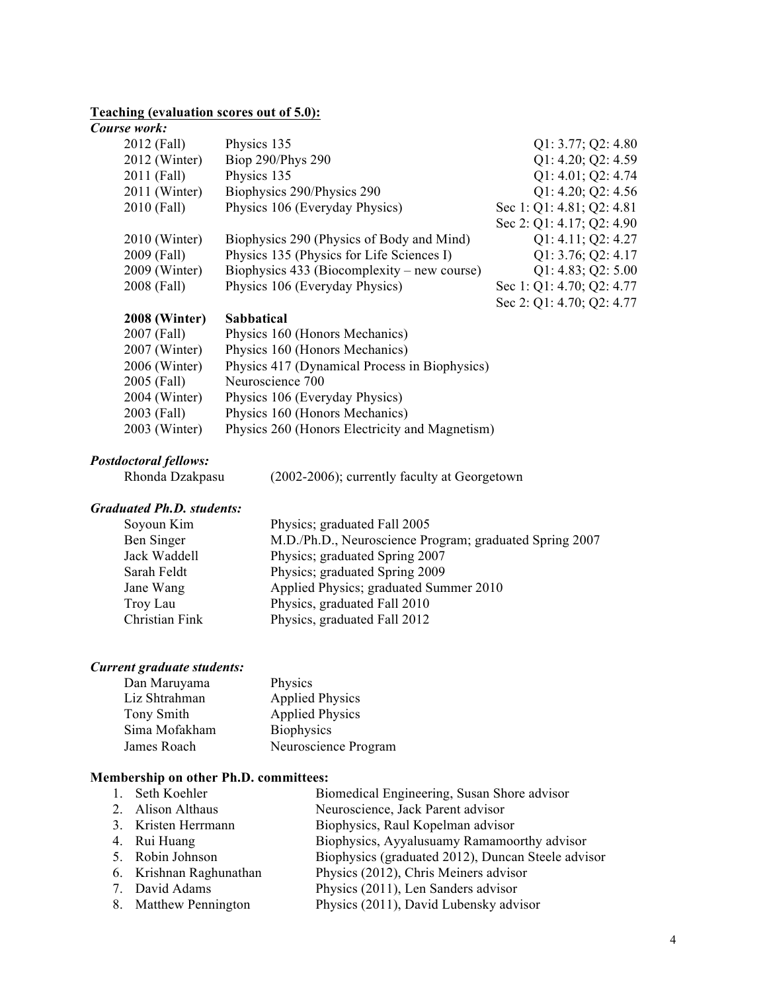# **Teaching (evaluation scores out of 5.0):**

#### *Course work:*

| <b>2008 (Winter)</b> | <b>Sabbatical</b>                             |                           |
|----------------------|-----------------------------------------------|---------------------------|
|                      |                                               | Sec 2: Q1: 4.70; Q2: 4.77 |
| 2008 (Fall)          | Physics 106 (Everyday Physics)                | Sec 1: Q1: 4.70; Q2: 4.77 |
| 2009 (Winter)        | Biophysics $433$ (Biocomplexity – new course) | Q1: 4.83; Q2: 5.00        |
| 2009 (Fall)          | Physics 135 (Physics for Life Sciences I)     | Q1: 3.76; Q2: 4.17        |
| 2010 (Winter)        | Biophysics 290 (Physics of Body and Mind)     | Q1: 4.11; Q2: 4.27        |
|                      |                                               | Sec 2: Q1: 4.17; Q2: 4.90 |
| 2010 (Fall)          | Physics 106 (Everyday Physics)                | Sec 1: Q1: 4.81; Q2: 4.81 |
| 2011 (Winter)        | Biophysics 290/Physics 290                    | Q1: 4.20; Q2: 4.56        |
| 2011 (Fall)          | Physics 135                                   | Q1: 4.01; Q2: 4.74        |
| 2012 (Winter)        | Biop 290/Phys 290                             | Q1: 4.20; Q2: 4.59        |
| 2012 (Fall)          | Physics 135                                   | Q1: 3.77; Q2: 4.80        |
|                      |                                               |                           |

| 2007 (Fall)   | Physics 160 (Honors Mechanics)                 |
|---------------|------------------------------------------------|
| 2007 (Winter) | Physics 160 (Honors Mechanics)                 |
| 2006 (Winter) | Physics 417 (Dynamical Process in Biophysics)  |
| 2005 (Fall)   | Neuroscience 700                               |
| 2004 (Winter) | Physics 106 (Everyday Physics)                 |
| 2003 (Fall)   | Physics 160 (Honors Mechanics)                 |
| 2003 (Winter) | Physics 260 (Honors Electricity and Magnetism) |
|               |                                                |

# *Postdoctoral fellows:*

 $(2002-2006)$ ; currently faculty at Georgetown

# *Graduated Ph.D. students:*

| Soyoun Kim     | Physics; graduated Fall 2005                            |
|----------------|---------------------------------------------------------|
| Ben Singer     | M.D./Ph.D., Neuroscience Program; graduated Spring 2007 |
| Jack Waddell   | Physics; graduated Spring 2007                          |
| Sarah Feldt    | Physics; graduated Spring 2009                          |
| Jane Wang      | Applied Physics; graduated Summer 2010                  |
| Troy Lau       | Physics, graduated Fall 2010                            |
| Christian Fink | Physics, graduated Fall 2012                            |
|                |                                                         |

#### *Current graduate students:*

| Dan Maruyama  | Physics                |
|---------------|------------------------|
| Liz Shtrahman | <b>Applied Physics</b> |
| Tony Smith    | <b>Applied Physics</b> |
| Sima Mofakham | <b>Biophysics</b>      |
| James Roach   | Neuroscience Program   |

### **Membership on other Ph.D. committees:**

| 1. Seth Koehler         | Biomedical Engineering, Susan Shore advisor        |
|-------------------------|----------------------------------------------------|
| 2. Alison Althaus       | Neuroscience, Jack Parent advisor                  |
| 3. Kristen Herrmann     | Biophysics, Raul Kopelman advisor                  |
| 4. Rui Huang            | Biophysics, Ayyalusuamy Ramamoorthy advisor        |
| 5. Robin Johnson        | Biophysics (graduated 2012), Duncan Steele advisor |
| 6. Krishnan Raghunathan | Physics (2012), Chris Meiners advisor              |
| 7. David Adams          | Physics (2011), Len Sanders advisor                |
| 8. Matthew Pennington   | Physics (2011), David Lubensky advisor             |
|                         |                                                    |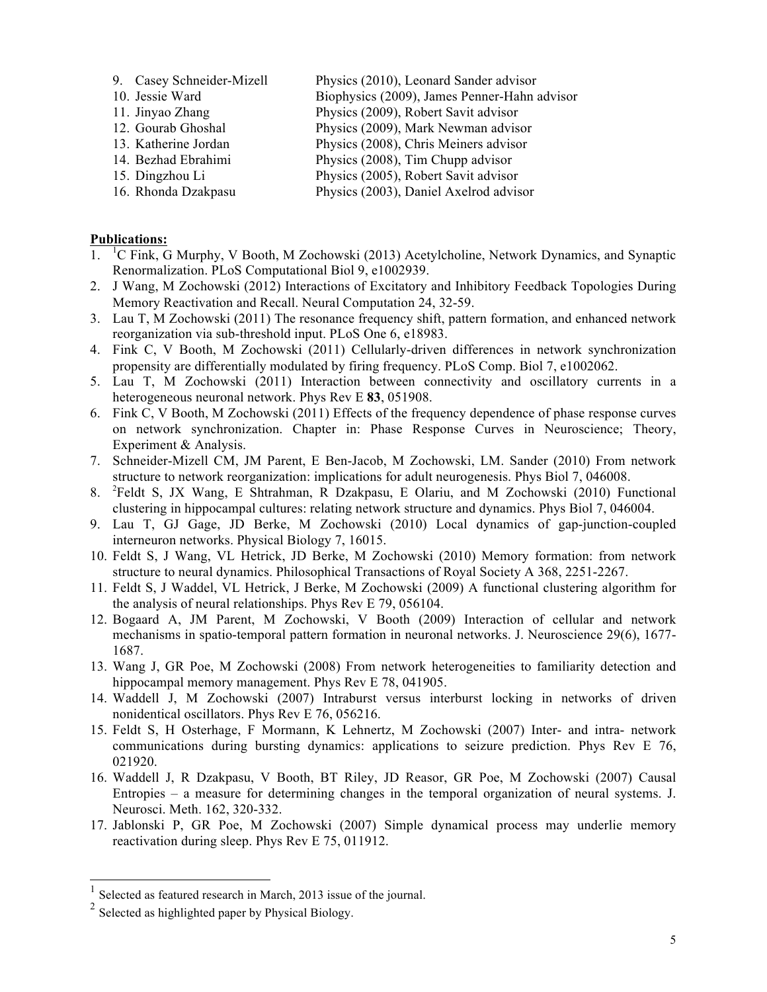- 9. Casey Schneider-Mizell Physics (2010), Leonard Sander advisor
- 10. Jessie Ward Biophysics (2009), James Penner-Hahn advisor
- 11. Jinyao Zhang Physics (2009), Robert Savit advisor
- 12. Gourab Ghoshal Physics (2009), Mark Newman advisor
- 13. Katherine Jordan Physics (2008), Chris Meiners advisor
- 14. Bezhad Ebrahimi Physics (2008), Tim Chupp advisor
- 15. Dingzhou Li Physics (2005), Robert Savit advisor
- 16. Rhonda Dzakpasu Physics (2003), Daniel Axelrod advisor

# **Publications:**

- 1. <sup>1</sup>C Fink, G Murphy, V Booth, M Zochowski (2013) Acetylcholine, Network Dynamics, and Synaptic Renormalization. PLoS Computational Biol 9, e1002939.
- 2. J Wang, M Zochowski (2012) Interactions of Excitatory and Inhibitory Feedback Topologies During Memory Reactivation and Recall. Neural Computation 24, 32-59.
- 3. Lau T, M Zochowski (2011) The resonance frequency shift, pattern formation, and enhanced network reorganization via sub-threshold input. PLoS One 6, e18983.
- 4. Fink C, V Booth, M Zochowski (2011) Cellularly-driven differences in network synchronization propensity are differentially modulated by firing frequency. PLoS Comp. Biol 7, e1002062.
- 5. Lau T, M Zochowski (2011) Interaction between connectivity and oscillatory currents in a heterogeneous neuronal network. Phys Rev E **83**, 051908.
- 6. Fink C, V Booth, M Zochowski (2011) Effects of the frequency dependence of phase response curves on network synchronization. Chapter in: Phase Response Curves in Neuroscience; Theory, Experiment & Analysis.
- 7. Schneider-Mizell CM, JM Parent, E Ben-Jacob, M Zochowski, LM. Sander (2010) From network structure to network reorganization: implications for adult neurogenesis. Phys Biol 7, 046008.
- 8. <sup>2</sup> Feldt S, JX Wang, E Shtrahman, R Dzakpasu, E Olariu, and M Zochowski (2010) Functional clustering in hippocampal cultures: relating network structure and dynamics. Phys Biol 7, 046004.
- 9. Lau T, GJ Gage, JD Berke, M Zochowski (2010) Local dynamics of gap-junction-coupled interneuron networks. Physical Biology 7, 16015.
- 10. Feldt S, J Wang, VL Hetrick, JD Berke, M Zochowski (2010) Memory formation: from network structure to neural dynamics. Philosophical Transactions of Royal Society A 368, 2251-2267.
- 11. Feldt S, J Waddel, VL Hetrick, J Berke, M Zochowski (2009) A functional clustering algorithm for the analysis of neural relationships. Phys Rev E 79, 056104.
- 12. Bogaard A, JM Parent, M Zochowski, V Booth (2009) Interaction of cellular and network mechanisms in spatio-temporal pattern formation in neuronal networks. J. Neuroscience 29(6), 1677- 1687.
- 13. Wang J, GR Poe, M Zochowski (2008) From network heterogeneities to familiarity detection and hippocampal memory management. Phys Rev E 78, 041905.
- 14. Waddell J, M Zochowski (2007) Intraburst versus interburst locking in networks of driven nonidentical oscillators. Phys Rev E 76, 056216.
- 15. Feldt S, H Osterhage, F Mormann, K Lehnertz, M Zochowski (2007) Inter- and intra- network communications during bursting dynamics: applications to seizure prediction. Phys Rev E 76, 021920.
- 16. Waddell J, R Dzakpasu, V Booth, BT Riley, JD Reasor, GR Poe, M Zochowski (2007) Causal Entropies – a measure for determining changes in the temporal organization of neural systems. J. Neurosci. Meth. 162, 320-332.
- 17. Jablonski P, GR Poe, M Zochowski (2007) Simple dynamical process may underlie memory reactivation during sleep. Phys Rev E 75, 011912.

Selected as featured research in March, 2013 issue of the journal.

<sup>2</sup> Selected as highlighted paper by Physical Biology.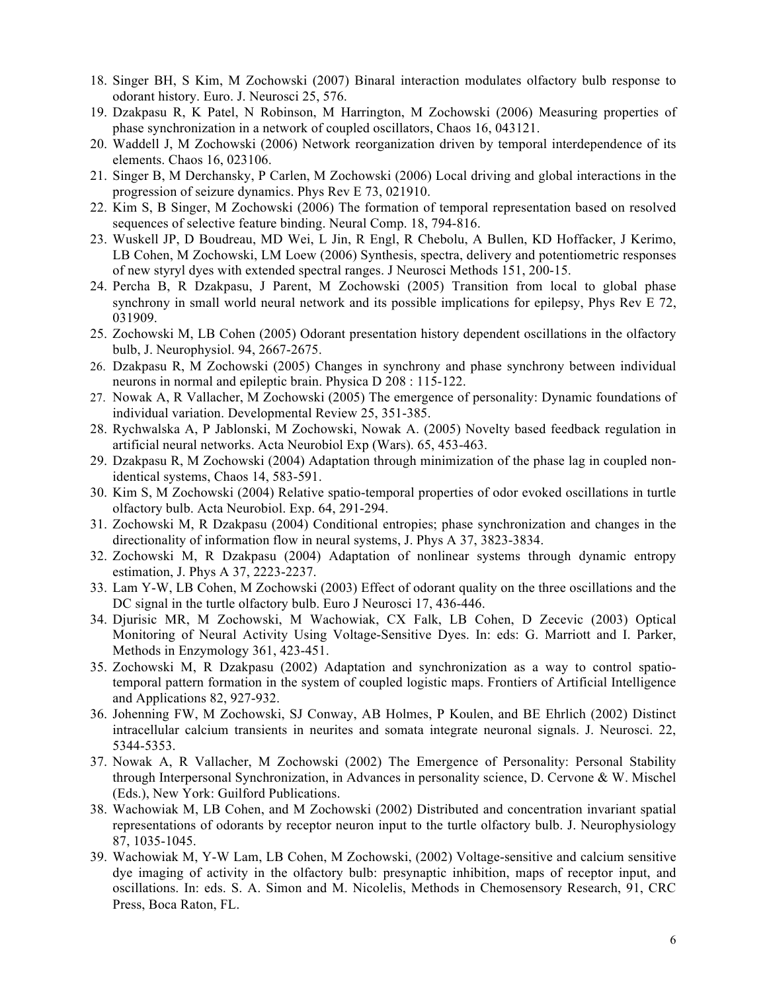- 18. Singer BH, S Kim, M Zochowski (2007) Binaral interaction modulates olfactory bulb response to odorant history. Euro. J. Neurosci 25, 576.
- 19. Dzakpasu R, K Patel, N Robinson, M Harrington, M Zochowski (2006) Measuring properties of phase synchronization in a network of coupled oscillators, Chaos 16, 043121.
- 20. Waddell J, M Zochowski (2006) Network reorganization driven by temporal interdependence of its elements. Chaos 16, 023106.
- 21. Singer B, M Derchansky, P Carlen, M Zochowski (2006) Local driving and global interactions in the progression of seizure dynamics. Phys Rev E 73, 021910.
- 22. Kim S, B Singer, M Zochowski (2006) The formation of temporal representation based on resolved sequences of selective feature binding. Neural Comp. 18, 794-816.
- 23. Wuskell JP, D Boudreau, MD Wei, L Jin, R Engl, R Chebolu, A Bullen, KD Hoffacker, J Kerimo, LB Cohen, M Zochowski, LM Loew (2006) Synthesis, spectra, delivery and potentiometric responses of new styryl dyes with extended spectral ranges. J Neurosci Methods 151, 200-15.
- 24. Percha B, R Dzakpasu, J Parent, M Zochowski (2005) Transition from local to global phase synchrony in small world neural network and its possible implications for epilepsy, Phys Rev E 72, 031909.
- 25. Zochowski M, LB Cohen (2005) Odorant presentation history dependent oscillations in the olfactory bulb, J. Neurophysiol. 94, 2667-2675.
- 26. Dzakpasu R, M Zochowski (2005) Changes in synchrony and phase synchrony between individual neurons in normal and epileptic brain. Physica D 208 : 115-122.
- 27. Nowak A, R Vallacher, M Zochowski (2005) The emergence of personality: Dynamic foundations of individual variation. Developmental Review 25, 351-385.
- 28. Rychwalska A, P Jablonski, M Zochowski, Nowak A. (2005) Novelty based feedback regulation in artificial neural networks. Acta Neurobiol Exp (Wars). 65, 453-463.
- 29. Dzakpasu R, M Zochowski (2004) Adaptation through minimization of the phase lag in coupled nonidentical systems, Chaos 14, 583-591.
- 30. Kim S, M Zochowski (2004) Relative spatio-temporal properties of odor evoked oscillations in turtle olfactory bulb. Acta Neurobiol. Exp. 64, 291-294.
- 31. Zochowski M, R Dzakpasu (2004) Conditional entropies; phase synchronization and changes in the directionality of information flow in neural systems, J. Phys A 37, 3823-3834.
- 32. Zochowski M, R Dzakpasu (2004) Adaptation of nonlinear systems through dynamic entropy estimation, J. Phys A 37, 2223-2237.
- 33. Lam Y-W, LB Cohen, M Zochowski (2003) Effect of odorant quality on the three oscillations and the DC signal in the turtle olfactory bulb. Euro J Neurosci 17, 436-446.
- 34. Djurisic MR, M Zochowski, M Wachowiak, CX Falk, LB Cohen, D Zecevic (2003) Optical Monitoring of Neural Activity Using Voltage-Sensitive Dyes. In: eds: G. Marriott and I. Parker, Methods in Enzymology 361, 423-451.
- 35. Zochowski M, R Dzakpasu (2002) Adaptation and synchronization as a way to control spatiotemporal pattern formation in the system of coupled logistic maps. Frontiers of Artificial Intelligence and Applications 82, 927-932.
- 36. Johenning FW, M Zochowski, SJ Conway, AB Holmes, P Koulen, and BE Ehrlich (2002) Distinct intracellular calcium transients in neurites and somata integrate neuronal signals. J. Neurosci. 22, 5344-5353.
- 37. Nowak A, R Vallacher, M Zochowski (2002) The Emergence of Personality: Personal Stability through Interpersonal Synchronization, in Advances in personality science, D. Cervone & W. Mischel (Eds.), New York: Guilford Publications.
- 38. Wachowiak M, LB Cohen, and M Zochowski (2002) Distributed and concentration invariant spatial representations of odorants by receptor neuron input to the turtle olfactory bulb. J. Neurophysiology 87, 1035-1045.
- 39. Wachowiak M, Y-W Lam, LB Cohen, M Zochowski, (2002) Voltage-sensitive and calcium sensitive dye imaging of activity in the olfactory bulb: presynaptic inhibition, maps of receptor input, and oscillations. In: eds. S. A. Simon and M. Nicolelis, Methods in Chemosensory Research, 91, CRC Press, Boca Raton, FL.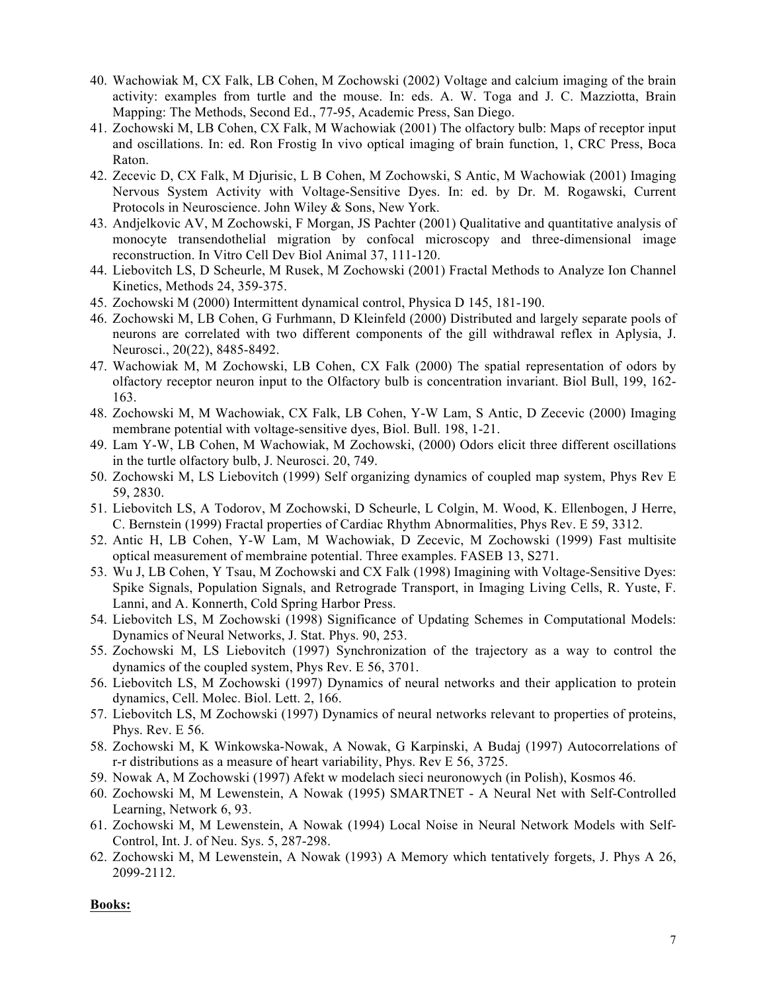- 40. Wachowiak M, CX Falk, LB Cohen, M Zochowski (2002) Voltage and calcium imaging of the brain activity: examples from turtle and the mouse. In: eds. A. W. Toga and J. C. Mazziotta, Brain Mapping: The Methods, Second Ed., 77-95, Academic Press, San Diego.
- 41. Zochowski M, LB Cohen, CX Falk, M Wachowiak (2001) The olfactory bulb: Maps of receptor input and oscillations. In: ed. Ron Frostig In vivo optical imaging of brain function, 1, CRC Press, Boca Raton.
- 42. Zecevic D, CX Falk, M Djurisic, L B Cohen, M Zochowski, S Antic, M Wachowiak (2001) Imaging Nervous System Activity with Voltage-Sensitive Dyes. In: ed. by Dr. M. Rogawski, Current Protocols in Neuroscience. John Wiley & Sons, New York.
- 43. Andjelkovic AV, M Zochowski, F Morgan, JS Pachter (2001) Qualitative and quantitative analysis of monocyte transendothelial migration by confocal microscopy and three-dimensional image reconstruction. In Vitro Cell Dev Biol Animal 37, 111-120.
- 44. Liebovitch LS, D Scheurle, M Rusek, M Zochowski (2001) Fractal Methods to Analyze Ion Channel Kinetics, Methods 24, 359-375.
- 45. Zochowski M (2000) Intermittent dynamical control, Physica D 145, 181-190.
- 46. Zochowski M, LB Cohen, G Furhmann, D Kleinfeld (2000) Distributed and largely separate pools of neurons are correlated with two different components of the gill withdrawal reflex in Aplysia, J. Neurosci., 20(22), 8485-8492.
- 47. Wachowiak M, M Zochowski, LB Cohen, CX Falk (2000) The spatial representation of odors by olfactory receptor neuron input to the Olfactory bulb is concentration invariant. Biol Bull, 199, 162- 163.
- 48. Zochowski M, M Wachowiak, CX Falk, LB Cohen, Y-W Lam, S Antic, D Zecevic (2000) Imaging membrane potential with voltage-sensitive dyes, Biol. Bull. 198, 1-21.
- 49. Lam Y-W, LB Cohen, M Wachowiak, M Zochowski, (2000) Odors elicit three different oscillations in the turtle olfactory bulb, J. Neurosci. 20, 749.
- 50. Zochowski M, LS Liebovitch (1999) Self organizing dynamics of coupled map system, Phys Rev E 59, 2830.
- 51. Liebovitch LS, A Todorov, M Zochowski, D Scheurle, L Colgin, M. Wood, K. Ellenbogen, J Herre, C. Bernstein (1999) Fractal properties of Cardiac Rhythm Abnormalities, Phys Rev. E 59, 3312.
- 52. Antic H, LB Cohen, Y-W Lam, M Wachowiak, D Zecevic, M Zochowski (1999) Fast multisite optical measurement of membraine potential. Three examples. FASEB 13, S271.
- 53. Wu J, LB Cohen, Y Tsau, M Zochowski and CX Falk (1998) Imagining with Voltage-Sensitive Dyes: Spike Signals, Population Signals, and Retrograde Transport, in Imaging Living Cells, R. Yuste, F. Lanni, and A. Konnerth, Cold Spring Harbor Press.
- 54. Liebovitch LS, M Zochowski (1998) Significance of Updating Schemes in Computational Models: Dynamics of Neural Networks, J. Stat. Phys. 90, 253.
- 55. Zochowski M, LS Liebovitch (1997) Synchronization of the trajectory as a way to control the dynamics of the coupled system, Phys Rev. E 56, 3701.
- 56. Liebovitch LS, M Zochowski (1997) Dynamics of neural networks and their application to protein dynamics, Cell. Molec. Biol. Lett. 2, 166.
- 57. Liebovitch LS, M Zochowski (1997) Dynamics of neural networks relevant to properties of proteins, Phys. Rev. E 56.
- 58. Zochowski M, K Winkowska-Nowak, A Nowak, G Karpinski, A Budaj (1997) Autocorrelations of r-r distributions as a measure of heart variability, Phys. Rev E 56, 3725.
- 59. Nowak A, M Zochowski (1997) Afekt w modelach sieci neuronowych (in Polish), Kosmos 46.
- 60. Zochowski M, M Lewenstein, A Nowak (1995) SMARTNET A Neural Net with Self-Controlled Learning, Network 6, 93.
- 61. Zochowski M, M Lewenstein, A Nowak (1994) Local Noise in Neural Network Models with Self-Control, Int. J. of Neu. Sys. 5, 287-298.
- 62. Zochowski M, M Lewenstein, A Nowak (1993) A Memory which tentatively forgets, J. Phys A 26, 2099-2112.

#### **Books:**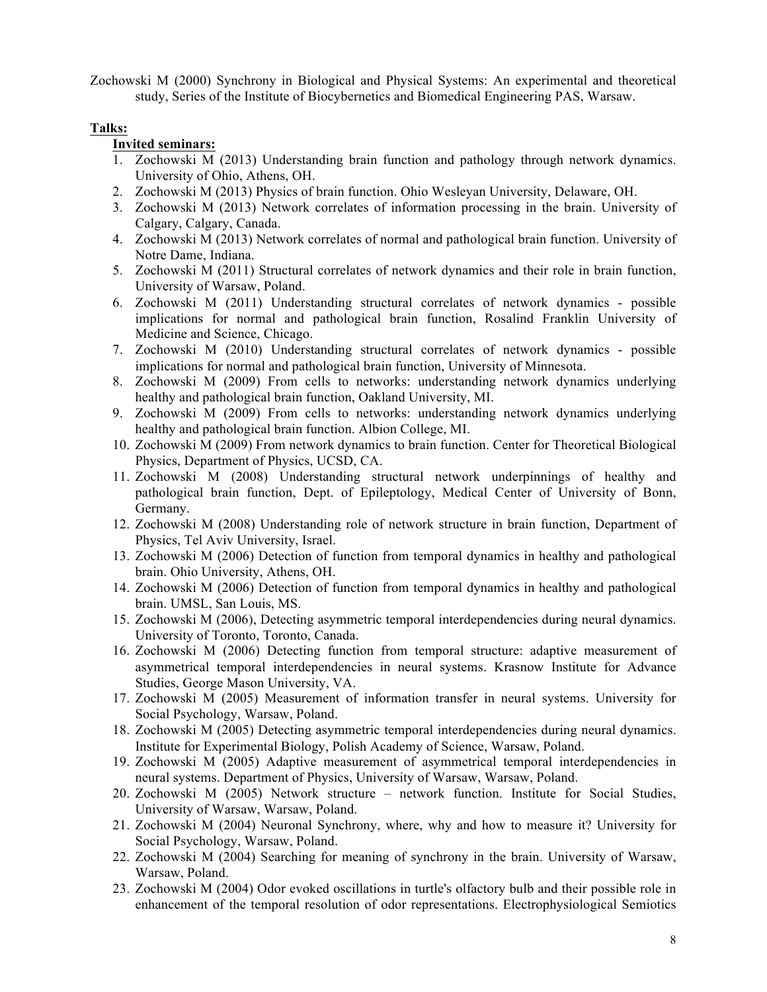Zochowski M (2000) Synchrony in Biological and Physical Systems: An experimental and theoretical study, Series of the Institute of Biocybernetics and Biomedical Engineering PAS, Warsaw.

# **Talks:**

# **Invited seminars:**

- 1. Zochowski M (2013) Understanding brain function and pathology through network dynamics. University of Ohio, Athens, OH.
- 2. Zochowski M (2013) Physics of brain function. Ohio Wesleyan University, Delaware, OH.
- 3. Zochowski M (2013) Network correlates of information processing in the brain. University of Calgary, Calgary, Canada.
- 4. Zochowski M (2013) Network correlates of normal and pathological brain function. University of Notre Dame, Indiana.
- 5. Zochowski M (2011) Structural correlates of network dynamics and their role in brain function, University of Warsaw, Poland.
- 6. Zochowski M (2011) Understanding structural correlates of network dynamics possible implications for normal and pathological brain function, Rosalind Franklin University of Medicine and Science, Chicago.
- 7. Zochowski M (2010) Understanding structural correlates of network dynamics possible implications for normal and pathological brain function, University of Minnesota.
- 8. Zochowski M (2009) From cells to networks: understanding network dynamics underlying healthy and pathological brain function, Oakland University, MI.
- 9. Zochowski M (2009) From cells to networks: understanding network dynamics underlying healthy and pathological brain function. Albion College, MI.
- 10. Zochowski M (2009) From network dynamics to brain function. Center for Theoretical Biological Physics, Department of Physics, UCSD, CA.
- 11. Zochowski M (2008) Understanding structural network underpinnings of healthy and pathological brain function, Dept. of Epileptology, Medical Center of University of Bonn, Germany.
- 12. Zochowski M (2008) Understanding role of network structure in brain function, Department of Physics, Tel Aviv University, Israel.
- 13. Zochowski M (2006) Detection of function from temporal dynamics in healthy and pathological brain. Ohio University, Athens, OH.
- 14. Zochowski M (2006) Detection of function from temporal dynamics in healthy and pathological brain. UMSL, San Louis, MS.
- 15. Zochowski M (2006), Detecting asymmetric temporal interdependencies during neural dynamics. University of Toronto, Toronto, Canada.
- 16. Zochowski M (2006) Detecting function from temporal structure: adaptive measurement of asymmetrical temporal interdependencies in neural systems. Krasnow Institute for Advance Studies, George Mason University, VA.
- 17. Zochowski M (2005) Measurement of information transfer in neural systems. University for Social Psychology, Warsaw, Poland.
- 18. Zochowski M (2005) Detecting asymmetric temporal interdependencies during neural dynamics. Institute for Experimental Biology, Polish Academy of Science, Warsaw, Poland.
- 19. Zochowski M (2005) Adaptive measurement of asymmetrical temporal interdependencies in neural systems. Department of Physics, University of Warsaw, Warsaw, Poland.
- 20. Zochowski M (2005) Network structure network function. Institute for Social Studies, University of Warsaw, Warsaw, Poland.
- 21. Zochowski M (2004) Neuronal Synchrony, where, why and how to measure it? University for Social Psychology, Warsaw, Poland.
- 22. Zochowski M (2004) Searching for meaning of synchrony in the brain. University of Warsaw, Warsaw, Poland.
- 23. Zochowski M (2004) Odor evoked oscillations in turtle's olfactory bulb and their possible role in enhancement of the temporal resolution of odor representations. Electrophysiological Semiotics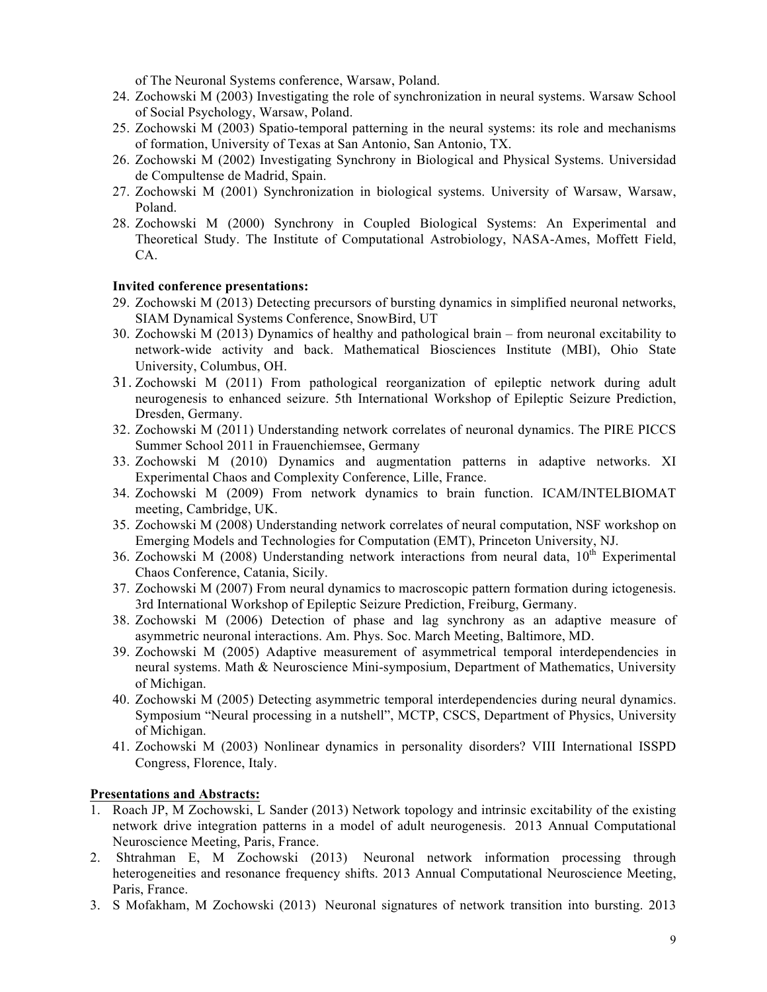of The Neuronal Systems conference, Warsaw, Poland.

- 24. Zochowski M (2003) Investigating the role of synchronization in neural systems. Warsaw School of Social Psychology, Warsaw, Poland.
- 25. Zochowski M (2003) Spatio-temporal patterning in the neural systems: its role and mechanisms of formation, University of Texas at San Antonio, San Antonio, TX.
- 26. Zochowski M (2002) Investigating Synchrony in Biological and Physical Systems. Universidad de Compultense de Madrid, Spain.
- 27. Zochowski M (2001) Synchronization in biological systems. University of Warsaw, Warsaw, Poland.
- 28. Zochowski M (2000) Synchrony in Coupled Biological Systems: An Experimental and Theoretical Study. The Institute of Computational Astrobiology, NASA-Ames, Moffett Field, CA.

### **Invited conference presentations:**

- 29. Zochowski M (2013) Detecting precursors of bursting dynamics in simplified neuronal networks, SIAM Dynamical Systems Conference, SnowBird, UT
- 30. Zochowski M (2013) Dynamics of healthy and pathological brain from neuronal excitability to network-wide activity and back. Mathematical Biosciences Institute (MBI), Ohio State University, Columbus, OH.
- 31. Zochowski M (2011) From pathological reorganization of epileptic network during adult neurogenesis to enhanced seizure. 5th International Workshop of Epileptic Seizure Prediction, Dresden, Germany.
- 32. Zochowski M (2011) Understanding network correlates of neuronal dynamics. The PIRE PICCS Summer School 2011 in Frauenchiemsee, Germany
- 33. Zochowski M (2010) Dynamics and augmentation patterns in adaptive networks. XI Experimental Chaos and Complexity Conference, Lille, France.
- 34. Zochowski M (2009) From network dynamics to brain function. ICAM/INTELBIOMAT meeting, Cambridge, UK.
- 35. Zochowski M (2008) Understanding network correlates of neural computation, NSF workshop on Emerging Models and Technologies for Computation (EMT), Princeton University, NJ.
- 36. Zochowski M (2008) Understanding network interactions from neural data,  $10<sup>th</sup>$  Experimental Chaos Conference, Catania, Sicily.
- 37. Zochowski M (2007) From neural dynamics to macroscopic pattern formation during ictogenesis. 3rd International Workshop of Epileptic Seizure Prediction, Freiburg, Germany.
- 38. Zochowski M (2006) Detection of phase and lag synchrony as an adaptive measure of asymmetric neuronal interactions. Am. Phys. Soc. March Meeting, Baltimore, MD.
- 39. Zochowski M (2005) Adaptive measurement of asymmetrical temporal interdependencies in neural systems. Math & Neuroscience Mini-symposium, Department of Mathematics, University of Michigan.
- 40. Zochowski M (2005) Detecting asymmetric temporal interdependencies during neural dynamics. Symposium "Neural processing in a nutshell", MCTP, CSCS, Department of Physics, University of Michigan.
- 41. Zochowski M (2003) Nonlinear dynamics in personality disorders? VIII International ISSPD Congress, Florence, Italy.

# **Presentations and Abstracts:**

- 1. Roach JP, M Zochowski, L Sander (2013) Network topology and intrinsic excitability of the existing network drive integration patterns in a model of adult neurogenesis. 2013 Annual Computational Neuroscience Meeting, Paris, France.
- 2. Shtrahman E, M Zochowski (2013) Neuronal network information processing through heterogeneities and resonance frequency shifts. 2013 Annual Computational Neuroscience Meeting, Paris, France.
- 3. S Mofakham, M Zochowski (2013) Neuronal signatures of network transition into bursting. 2013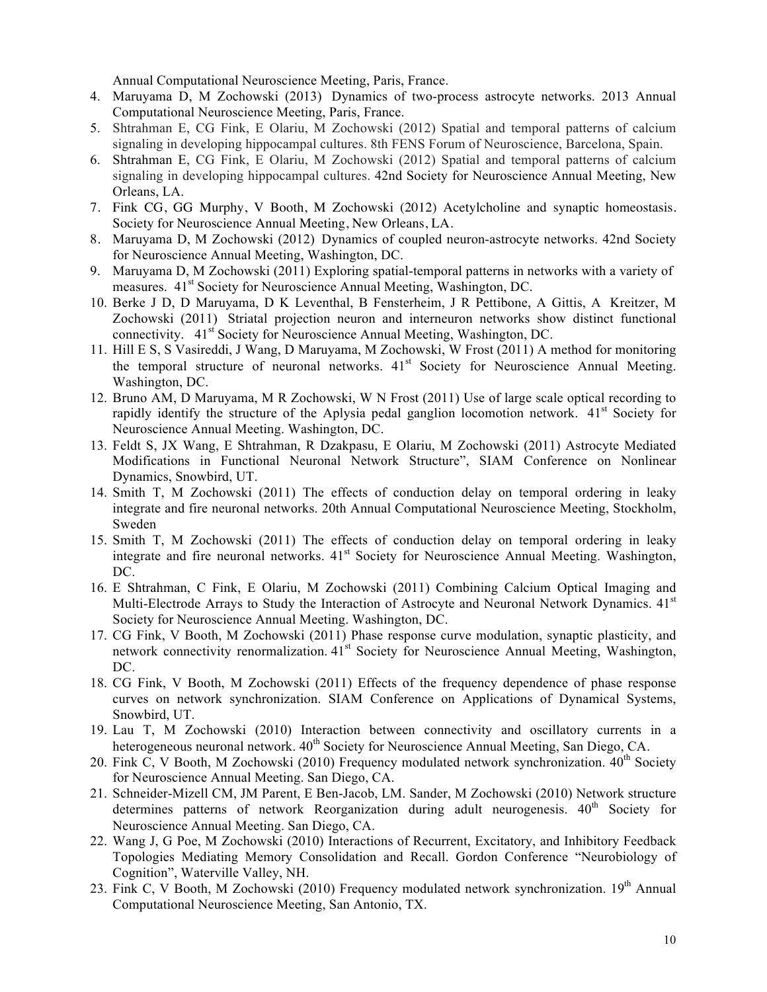Annual Computational Neuroscience Meeting, Paris, France.

- 4. Maruyama D, M Zochowski (2013) Dynamics of two-process astrocyte networks. 2013 Annual Computational Neuroscience Meeting, Paris, France.
- 5. Shtrahman E, CG Fink, E Olariu, M Zochowski (2012) Spatial and temporal patterns of calcium signaling in developing hippocampal cultures. 8th FENS Forum of Neuroscience, Barcelona, Spain.
- 6. Shtrahman E, CG Fink, E Olariu, M Zochowski (2012) Spatial and temporal patterns of calcium signaling in developing hippocampal cultures. 42nd Society for Neuroscience Annual Meeting, New Orleans, LA.
- 7. Fink CG, GG Murphy, V Booth, M Zochowski (2012) Acetylcholine and synaptic homeostasis. Society for Neuroscience Annual Meeting, New Orleans, LA.
- 8. Maruyama D, M Zochowski (2012) Dynamics of coupled neuron-astrocyte networks. 42nd Society for Neuroscience Annual Meeting, Washington, DC.
- 9. Maruyama D, M Zochowski (2011) Exploring spatial-temporal patterns in networks with a variety of measures. 41<sup>st</sup> Society for Neuroscience Annual Meeting, Washington, DC.
- 10. Berke J D, D Maruyama, D K Leventhal, B Fensterheim, J R Pettibone, A Gittis, A Kreitzer, M Zochowski (2011) Striatal projection neuron and interneuron networks show distinct functional connectivity.  $41<sup>st</sup>$  Society for Neuroscience Annual Meeting, Washington, DC.
- 11. Hill E S, S Vasireddi, J Wang, D Maruyama, M Zochowski, W Frost (2011) A method for monitoring the temporal structure of neuronal networks.  $41<sup>st</sup>$  Society for Neuroscience Annual Meeting. Washington, DC.
- 12. Bruno AM, D Maruyama, M R Zochowski, W N Frost (2011) Use of large scale optical recording to rapidly identify the structure of the Aplysia pedal ganglion locomotion network.  $41<sup>st</sup>$  Society for Neuroscience Annual Meeting. Washington, DC.
- 13. Feldt S, JX Wang, E Shtrahman, R Dzakpasu, E Olariu, M Zochowski (2011) Astrocyte Mediated Modifications in Functional Neuronal Network Structure", SIAM Conference on Nonlinear Dynamics, Snowbird, UT.
- 14. Smith T, M Zochowski (2011) The effects of conduction delay on temporal ordering in leaky integrate and fire neuronal networks. 20th Annual Computational Neuroscience Meeting, Stockholm, Sweden
- 15. Smith T, M Zochowski (2011) The effects of conduction delay on temporal ordering in leaky integrate and fire neuronal networks. 41<sup>st</sup> Society for Neuroscience Annual Meeting. Washington, DC.
- 16. E Shtrahman, C Fink, E Olariu, M Zochowski (2011) Combining Calcium Optical Imaging and Multi-Electrode Arrays to Study the Interaction of Astrocyte and Neuronal Network Dynamics. 41<sup>st</sup> Society for Neuroscience Annual Meeting. Washington, DC.
- 17. CG Fink, V Booth, M Zochowski (2011) Phase response curve modulation, synaptic plasticity, and network connectivity renormalization.  $41<sup>st</sup>$  Society for Neuroscience Annual Meeting, Washington, DC.
- 18. CG Fink, V Booth, M Zochowski (2011) Effects of the frequency dependence of phase response curves on network synchronization. SIAM Conference on Applications of Dynamical Systems, Snowbird, UT.
- 19. Lau T, M Zochowski (2010) Interaction between connectivity and oscillatory currents in a heterogeneous neuronal network.  $40^{th}$  Society for Neuroscience Annual Meeting, San Diego, CA.
- 20. Fink C, V Booth, M Zochowski (2010) Frequency modulated network synchronization.  $40^{th}$  Society for Neuroscience Annual Meeting. San Diego, CA.
- 21. Schneider-Mizell CM, JM Parent, E Ben-Jacob, LM. Sander, M Zochowski (2010) Network structure determines patterns of network Reorganization during adult neurogenesis.  $40<sup>th</sup>$  Society for Neuroscience Annual Meeting. San Diego, CA.
- 22. Wang J, G Poe, M Zochowski (2010) Interactions of Recurrent, Excitatory, and Inhibitory Feedback Topologies Mediating Memory Consolidation and Recall. Gordon Conference "Neurobiology of Cognition", Waterville Valley, NH.
- 23. Fink C, V Booth, M Zochowski (2010) Frequency modulated network synchronization. 19<sup>th</sup> Annual Computational Neuroscience Meeting, San Antonio, TX.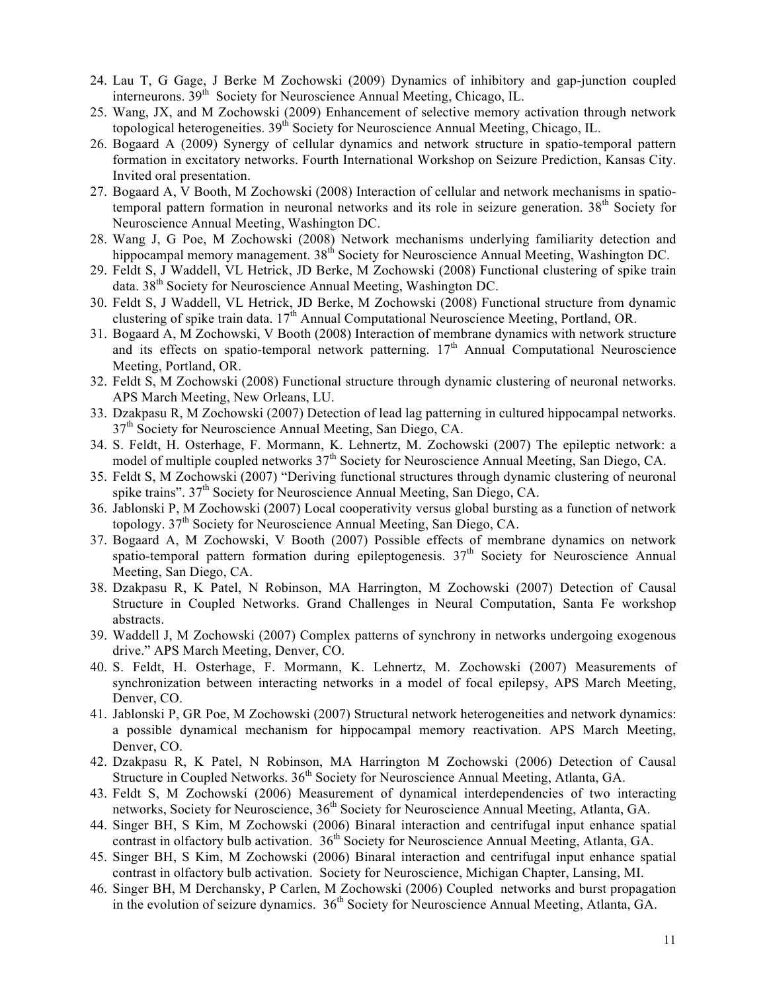- 24. Lau T, G Gage, J Berke M Zochowski (2009) Dynamics of inhibitory and gap-junction coupled interneurons.  $39<sup>th</sup>$  Society for Neuroscience Annual Meeting, Chicago, IL.
- 25. Wang, JX, and M Zochowski (2009) Enhancement of selective memory activation through network topological heterogeneities.  $39<sup>th</sup>$  Society for Neuroscience Annual Meeting, Chicago, IL.
- 26. Bogaard A (2009) Synergy of cellular dynamics and network structure in spatio-temporal pattern formation in excitatory networks. Fourth International Workshop on Seizure Prediction, Kansas City. Invited oral presentation.
- 27. Bogaard A, V Booth, M Zochowski (2008) Interaction of cellular and network mechanisms in spatiotemporal pattern formation in neuronal networks and its role in seizure generation. 38<sup>th</sup> Society for Neuroscience Annual Meeting, Washington DC.
- 28. Wang J, G Poe, M Zochowski (2008) Network mechanisms underlying familiarity detection and hippocampal memory management. 38<sup>th</sup> Society for Neuroscience Annual Meeting, Washington DC.
- 29. Feldt S, J Waddell, VL Hetrick, JD Berke, M Zochowski (2008) Functional clustering of spike train data. 38<sup>th</sup> Society for Neuroscience Annual Meeting, Washington DC.
- 30. Feldt S, J Waddell, VL Hetrick, JD Berke, M Zochowski (2008) Functional structure from dynamic clustering of spike train data. 17<sup>th</sup> Annual Computational Neuroscience Meeting, Portland, OR.
- 31. Bogaard A, M Zochowski, V Booth (2008) Interaction of membrane dynamics with network structure and its effects on spatio-temporal network patterning.  $17<sup>th</sup>$  Annual Computational Neuroscience Meeting, Portland, OR.
- 32. Feldt S, M Zochowski (2008) Functional structure through dynamic clustering of neuronal networks. APS March Meeting, New Orleans, LU.
- 33. Dzakpasu R, M Zochowski (2007) Detection of lead lag patterning in cultured hippocampal networks.  $37<sup>th</sup>$  Society for Neuroscience Annual Meeting, San Diego, CA.
- 34. S. Feldt, H. Osterhage, F. Mormann, K. Lehnertz, M. Zochowski (2007) The epileptic network: a model of multiple coupled networks  $37<sup>th</sup>$  Society for Neuroscience Annual Meeting, San Diego, CA.
- 35. Feldt S, M Zochowski (2007) "Deriving functional structures through dynamic clustering of neuronal spike trains", 37<sup>th</sup> Society for Neuroscience Annual Meeting, San Diego, CA.
- 36. Jablonski P, M Zochowski (2007) Local cooperativity versus global bursting as a function of network topology.  $37<sup>th</sup>$  Society for Neuroscience Annual Meeting, San Diego, CA.
- 37. Bogaard A, M Zochowski, V Booth (2007) Possible effects of membrane dynamics on network spatio-temporal pattern formation during epileptogenesis. 37<sup>th</sup> Society for Neuroscience Annual Meeting, San Diego, CA.
- 38. Dzakpasu R, K Patel, N Robinson, MA Harrington, M Zochowski (2007) Detection of Causal Structure in Coupled Networks. Grand Challenges in Neural Computation, Santa Fe workshop abstracts.
- 39. Waddell J, M Zochowski (2007) Complex patterns of synchrony in networks undergoing exogenous drive." APS March Meeting, Denver, CO.
- 40. S. Feldt, H. Osterhage, F. Mormann, K. Lehnertz, M. Zochowski (2007) Measurements of synchronization between interacting networks in a model of focal epilepsy, APS March Meeting, Denver, CO.
- 41. Jablonski P, GR Poe, M Zochowski (2007) Structural network heterogeneities and network dynamics: a possible dynamical mechanism for hippocampal memory reactivation. APS March Meeting, Denver, CO.
- 42. Dzakpasu R, K Patel, N Robinson, MA Harrington M Zochowski (2006) Detection of Causal Structure in Coupled Networks. 36<sup>th</sup> Society for Neuroscience Annual Meeting, Atlanta, GA.
- 43. Feldt S, M Zochowski (2006) Measurement of dynamical interdependencies of two interacting networks, Society for Neuroscience, 36<sup>th</sup> Society for Neuroscience Annual Meeting, Atlanta, GA.
- 44. Singer BH, S Kim, M Zochowski (2006) Binaral interaction and centrifugal input enhance spatial contrast in olfactory bulb activation. 36<sup>th</sup> Society for Neuroscience Annual Meeting, Atlanta, GA.
- 45. Singer BH, S Kim, M Zochowski (2006) Binaral interaction and centrifugal input enhance spatial contrast in olfactory bulb activation. Society for Neuroscience, Michigan Chapter, Lansing, MI.
- 46. Singer BH, M Derchansky, P Carlen, M Zochowski (2006) Coupled networks and burst propagation in the evolution of seizure dynamics.  $36<sup>th</sup>$  Society for Neuroscience Annual Meeting, Atlanta, GA.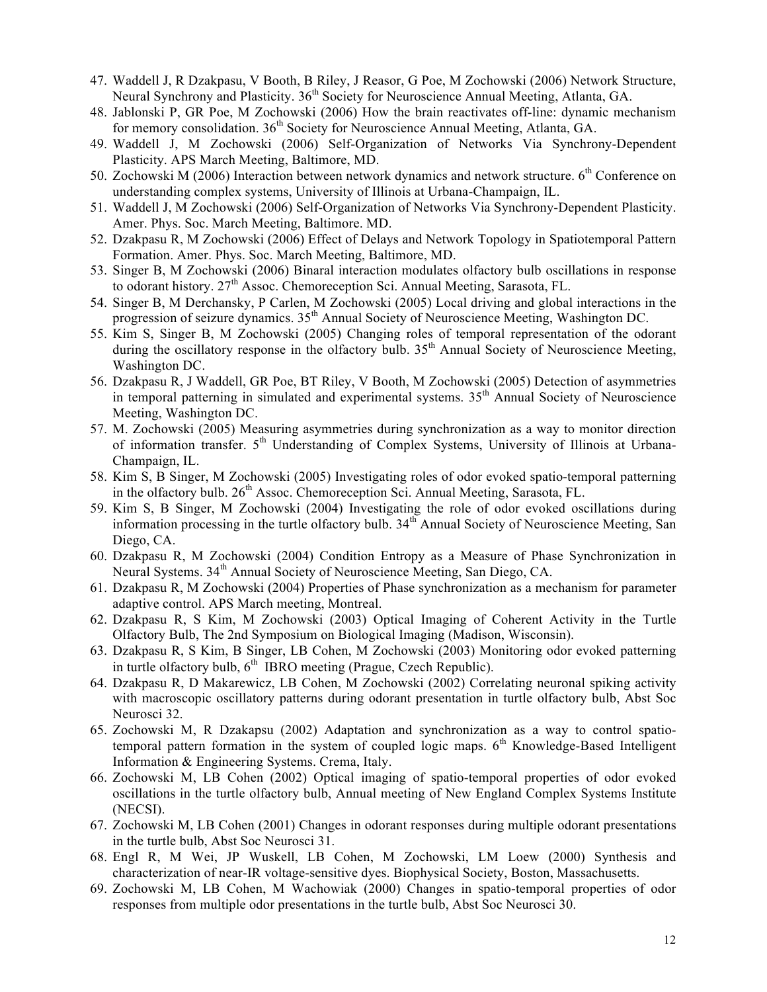- 47. Waddell J, R Dzakpasu, V Booth, B Riley, J Reasor, G Poe, M Zochowski (2006) Network Structure, Neural Synchrony and Plasticity. 36<sup>th</sup> Society for Neuroscience Annual Meeting, Atlanta, GA.
- 48. Jablonski P, GR Poe, M Zochowski (2006) How the brain reactivates off-line: dynamic mechanism for memory consolidation.  $36<sup>th</sup>$  Society for Neuroscience Annual Meeting, Atlanta, GA.
- 49. Waddell J, M Zochowski (2006) Self-Organization of Networks Via Synchrony-Dependent Plasticity. APS March Meeting, Baltimore, MD.
- 50. Zochowski M (2006) Interaction between network dynamics and network structure. 6<sup>th</sup> Conference on understanding complex systems, University of Illinois at Urbana-Champaign, IL.
- 51. Waddell J, M Zochowski (2006) Self-Organization of Networks Via Synchrony-Dependent Plasticity. Amer. Phys. Soc. March Meeting, Baltimore. MD.
- 52. Dzakpasu R, M Zochowski (2006) Effect of Delays and Network Topology in Spatiotemporal Pattern Formation. Amer. Phys. Soc. March Meeting, Baltimore, MD.
- 53. Singer B, M Zochowski (2006) Binaral interaction modulates olfactory bulb oscillations in response to odorant history. 27<sup>th</sup> Assoc. Chemoreception Sci. Annual Meeting, Sarasota, FL.
- 54. Singer B, M Derchansky, P Carlen, M Zochowski (2005) Local driving and global interactions in the progression of seizure dynamics.  $35<sup>th</sup>$  Annual Society of Neuroscience Meeting, Washington DC.
- 55. Kim S, Singer B, M Zochowski (2005) Changing roles of temporal representation of the odorant during the oscillatory response in the olfactory bulb.  $35<sup>th</sup>$  Annual Society of Neuroscience Meeting, Washington DC.
- 56. Dzakpasu R, J Waddell, GR Poe, BT Riley, V Booth, M Zochowski (2005) Detection of asymmetries in temporal patterning in simulated and experimental systems.  $35<sup>th</sup>$  Annual Society of Neuroscience Meeting, Washington DC.
- 57. M. Zochowski (2005) Measuring asymmetries during synchronization as a way to monitor direction of information transfer.  $5<sup>th</sup>$  Understanding of Complex Systems, University of Illinois at Urbana-Champaign, IL.
- 58. Kim S, B Singer, M Zochowski (2005) Investigating roles of odor evoked spatio-temporal patterning in the olfactory bulb.  $26<sup>th</sup>$  Assoc. Chemoreception Sci. Annual Meeting, Sarasota, FL.
- 59. Kim S, B Singer, M Zochowski (2004) Investigating the role of odor evoked oscillations during information processing in the turtle olfactory bulb. 34<sup>th</sup> Annual Society of Neuroscience Meeting, San Diego, CA.
- 60. Dzakpasu R, M Zochowski (2004) Condition Entropy as a Measure of Phase Synchronization in Neural Systems. 34<sup>th</sup> Annual Society of Neuroscience Meeting, San Diego, CA.
- 61. Dzakpasu R, M Zochowski (2004) Properties of Phase synchronization as a mechanism for parameter adaptive control. APS March meeting, Montreal.
- 62. Dzakpasu R, S Kim, M Zochowski (2003) Optical Imaging of Coherent Activity in the Turtle Olfactory Bulb, The 2nd Symposium on Biological Imaging (Madison, Wisconsin).
- 63. Dzakpasu R, S Kim, B Singer, LB Cohen, M Zochowski (2003) Monitoring odor evoked patterning in turtle olfactory bulb,  $6<sup>th</sup>$  IBRO meeting (Prague, Czech Republic).
- 64. Dzakpasu R, D Makarewicz, LB Cohen, M Zochowski (2002) Correlating neuronal spiking activity with macroscopic oscillatory patterns during odorant presentation in turtle olfactory bulb, Abst Soc Neurosci 32.
- 65. Zochowski M, R Dzakapsu (2002) Adaptation and synchronization as a way to control spatiotemporal pattern formation in the system of coupled logic maps. 6<sup>th</sup> Knowledge-Based Intelligent Information & Engineering Systems. Crema, Italy..
- 66. Zochowski M, LB Cohen (2002) Optical imaging of spatio-temporal properties of odor evoked oscillations in the turtle olfactory bulb, Annual meeting of New England Complex Systems Institute (NECSI).
- 67. Zochowski M, LB Cohen (2001) Changes in odorant responses during multiple odorant presentations in the turtle bulb, Abst Soc Neurosci 31.
- 68. Engl R, M Wei, JP Wuskell, LB Cohen, M Zochowski, LM Loew (2000) Synthesis and characterization of near-IR voltage-sensitive dyes. Biophysical Society, Boston, Massachusetts.
- 69. Zochowski M, LB Cohen, M Wachowiak (2000) Changes in spatio-temporal properties of odor responses from multiple odor presentations in the turtle bulb, Abst Soc Neurosci 30.